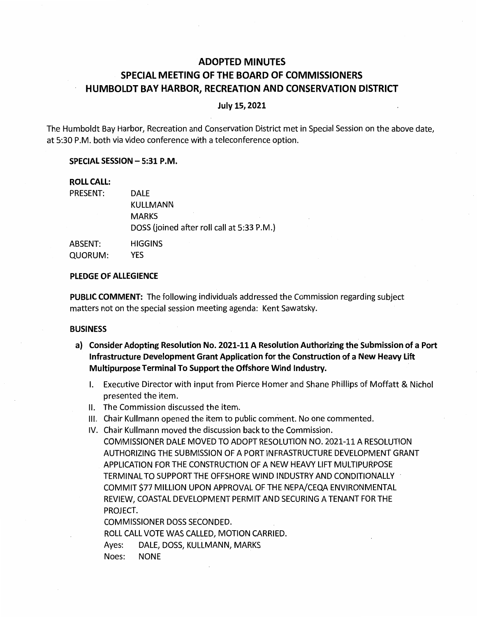# **ADOPTED MINUTES SPECIAL MEETING OF THE BOARD OF COMMISSIONERS HUMBOLDT BAY HARBOR, RECREATION AND CONSERVATION DISTRICT**

## **July 15, 2021**

The Humboldt Bay Harbor, Recreation and Conservation District met in Special Session on the above date, at 5:30 P.M. both via video conference with a teleconference option.

## **SPECIAL SESSION-5:31 P.M.**

# **ROLL CALL:**

| PRESENT: | <b>DALE</b>                                |
|----------|--------------------------------------------|
|          | KULLMANN                                   |
|          | <b>MARKS</b>                               |
|          | DOSS (joined after roll call at 5:33 P.M.) |
| ABSENT:  | <b>HIGGINS</b>                             |
| QUORUM:  | YES                                        |

### **PLEDGE OF ALLEGIENCE**

**PUBLIC COMMENT:** The following individuals addressed the Commission regarding subject matters not on the special session meeting agenda: Kent Sawatsky.

#### **BUSINESS**

- **a) Consider Adopting Resolution No. 2021-11 A Resolution Authorizing the Submission of a Port Infrastructure Development Grant Application for the Construction of a New Heavy Lift Multipurpose Terminal To Support the Offshore Wind Industry.** 
	- I. Executive Director with input from Pierce Homer and Shane Phillips of Moffatt & Nichol presented the item.
	- II. The Commission discussed the item.
	- Ill. Chair Kullmann opened the item to public comment. No one commented.
	- IV. Chair Kullmann moved the discussion back to the Commission. COMMISSIONER DALE MOVED TO ADOPT RESOLUTION NO. 2021-11 A RESOLUTION AUTHORIZING THE SUBMISSION OF A PORT INFRASTRUCTURE DEVELOPMENT GRANT APPLICATION FOR THE CONSTRUCTION OF A NEW HEAVY LIFT MULTIPURPOSE TERMINAL TO SUPPORT THE OFFSHORE WIND INDUSTRY AND CONDITIONALLY - COMMIT \$77 MILLION UPON APPROVAL OF THE NEPA/CEQA ENVIRONMENTAL REVIEW, COASTAL DEVELOPMENT PERMIT AND SECURING A TENANT FOR THE PROJECT.

COMMISSIONER DOSS SECONDED.

ROLL CALL VOTE WAS CALLED, MOTION CARRIED.

Ayes: DALE, DOSS, KULLMANN, MARKS

Noes: NONE